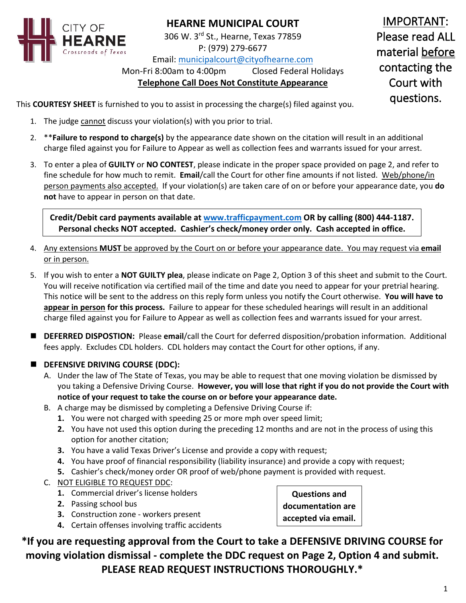

# **HEARNE MUNICIPAL COURT**

306 W. 3rd St., Hearne, Texas 77859 P: (979) 279-6677

Email: [municipalcourt@cityofhearne.com](mailto:municipalcourt@cityofhearne.com)

Mon-Fri 8:00am to 4:00pm Closed Federal Holidays

# **Telephone Call Does Not Constitute Appearance**

IMPORTANT: Please read ALL material before contacting the Court with questions.

This **COURTESY SHEET** is furnished to you to assist in processing the charge(s) filed against you.

- 1. The judge cannot discuss your violation(s) with you prior to trial.
- 2. \*\***Failure to respond to charge(s)** by the appearance date shown on the citation will result in an additional charge filed against you for Failure to Appear as well as collection fees and warrants issued for your arrest.
- 3. To enter a plea of **GUILTY** or **NO CONTEST**, please indicate in the proper space provided on page 2, and refer to fine schedule for how much to remit. **Email**/call the Court for other fine amounts if not listed. Web/phone/in person payments also accepted. If your violation(s) are taken care of on or before your appearance date, you **do not** have to appear in person on that date.

**Credit/Debit card payments available at [www.trafficpayment.com](http://www.trafficpayment.com/) OR by calling (800) 444-1187. Personal checks NOT accepted. Cashier's check/money order only. Cash accepted in office.**

- 4. Any extensions **MUST** be approved by the Court on or before your appearance date. You may request via **email** or in person.
- 5. If you wish to enter a **NOT GUILTY plea**, please indicate on Page 2, Option 3 of this sheet and submit to the Court. You will receive notification via certified mail of the time and date you need to appear for your pretrial hearing. This notice will be sent to the address on this reply form unless you notify the Court otherwise. **You will have to appear in person for this process.** Failure to appear for these scheduled hearings will result in an additional charge filed against you for Failure to Appear as well as collection fees and warrants issued for your arrest.
- **DEFERRED DISPOSTION:** Please **email**/call the Court for deferred disposition/probation information. Additional fees apply. Excludes CDL holders. CDL holders may contact the Court for other options, if any.
- **DEFENSIVE DRIVING COURSE (DDC):**
	- A. Under the law of The State of Texas, you may be able to request that one moving violation be dismissed by you taking a Defensive Driving Course. **However, you will lose that right if you do not provide the Court with notice of your request to take the course on or before your appearance date.**
	- B. A charge may be dismissed by completing a Defensive Driving Course if:
		- **1.** You were not charged with speeding 25 or more mph over speed limit;
		- **2.** You have not used this option during the preceding 12 months and are not in the process of using this option for another citation;
		- **3.** You have a valid Texas Driver's License and provide a copy with request;
		- **4.** You have proof of financial responsibility (liability insurance) and provide a copy with request;
		- **5.** Cashier's check/money order OR proof of web/phone payment is provided with request.
	- C. NOT ELIGIBLE TO REQUEST DDC:
		- **1.** Commercial driver's license holders
		- **2.** Passing school bus
		- **3.** Construction zone workers present
		- **4.** Certain offenses involving traffic accidents

**Questions and documentation are accepted via email.**

**5. \*If you are requesting approval from the Court to take a DEFENSIVE DRIVING COURSE for moving violation dismissal - complete the DDC request on Page 2, Option 4 and submit. PLEASE READ REQUEST INSTRUCTIONS THOROUGHLY.\***